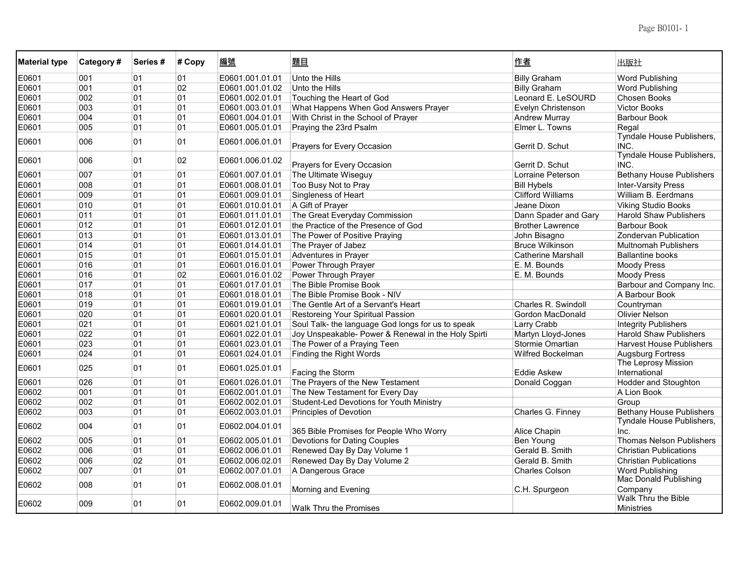| <b>Material type</b> | Category# | Series # | # Copy | 編號              | <u>題目</u>                                           | 作者                        | 出版社                                      |
|----------------------|-----------|----------|--------|-----------------|-----------------------------------------------------|---------------------------|------------------------------------------|
| E0601                | 001       | 01       | 01     | E0601.001.01.01 | Unto the Hills                                      | <b>Billy Graham</b>       | Word Publishing                          |
| E0601                | 001       | 01       | 02     | E0601.001.01.02 | Unto the Hills                                      | <b>Billy Graham</b>       | <b>Word Publishing</b>                   |
| E0601                | 002       | 01       | 01     | E0601.002.01.01 | Touching the Heart of God                           | Leonard E. LeSOURD        | <b>Chosen Books</b>                      |
| E0601                | 003       | 01       | 01     | E0601.003.01.01 | What Happens When God Answers Prayer                | Evelyn Christenson        | <b>Victor Books</b>                      |
| E0601                | 004       | 01       | 01     | E0601.004.01.01 | With Christ in the School of Prayer                 | <b>Andrew Murray</b>      | <b>Barbour Book</b>                      |
| E0601                | 005       | 01       | 01     | E0601.005.01.01 | Praying the 23rd Psalm                              | Elmer L. Towns            | Regal                                    |
| E0601                | 006       | 01       | 01     | E0601.006.01.01 | Prayers for Every Occasion                          | Gerrit D. Schut           | Tyndale House Publishers,<br>INC.        |
| E0601                | 006       | 01       | 02     | E0601.006.01.02 | Prayers for Every Occasion                          | Gerrit D. Schut           | Tyndale House Publishers,<br>INC.        |
| E0601                | 007       | 01       | 01     | E0601.007.01.01 | The Ultimate Wiseguy                                | Lorraine Peterson         | <b>Bethany House Publishers</b>          |
| E0601                | 008       | 01       | 01     | E0601.008.01.01 | Too Busy Not to Pray                                | <b>Bill Hybels</b>        | <b>Inter-Varsity Press</b>               |
| E0601                | 009       | 01       | 01     | E0601.009.01.01 | Singleness of Heart                                 | <b>Clifford Williams</b>  | William B. Eerdmans                      |
| E0601                | 010       | 01       | 01     | E0601.010.01.01 | A Gift of Prayer                                    | Jeane Dixon               | <b>Viking Studio Books</b>               |
| E0601                | 011       | 01       | 01     | E0601.011.01.01 | The Great Everyday Commission                       | Dann Spader and Gary      | Harold Shaw Publishers                   |
| E0601                | 012       | 01       | 01     | E0601.012.01.01 | the Practice of the Presence of God                 | <b>Brother Lawrence</b>   | <b>Barbour Book</b>                      |
| E0601                | 013       | 01       | 01     | E0601.013.01.01 | The Power of Positive Praying                       | John Bisagno              | Zondervan Publication                    |
| E0601                | 014       | 01       | 01     | E0601.014.01.01 | The Prayer of Jabez                                 | <b>Bruce Wilkinson</b>    | <b>Multnomah Publishers</b>              |
| E0601                | 015       | 01       | 01     | E0601.015.01.01 | Adventures in Prayer                                | <b>Catherine Marshall</b> | <b>Ballantine books</b>                  |
| E0601                | 016       | 01       | 01     | E0601.016.01.01 | Power Through Prayer                                | E. M. Bounds              | <b>Moody Press</b>                       |
| E0601                | 016       | 01       | 02     | E0601.016.01.02 | Power Through Prayer                                | E. M. Bounds              | <b>Moody Press</b>                       |
| E0601                | 017       | 01       | 01     | E0601.017.01.01 | The Bible Promise Book                              |                           | Barbour and Company Inc.                 |
| E0601                | 018       | 01       | 01     | E0601.018.01.01 | The Bible Promise Book - NIV                        |                           | A Barbour Book                           |
| E0601                | 019       | 01       | 01     | E0601.019.01.01 | The Gentle Art of a Servant's Heart                 | Charles R. Swindoll       | Countryman                               |
| E0601                | 020       | 01       | 01     | E0601.020.01.01 | Restoreing Your Spiritual Passion                   | Gordon MacDonald          | <b>Olivier Nelson</b>                    |
| E0601                | 021       | 01       | 01     | E0601.021.01.01 | Soul Talk- the language God longs for us to speak   | Larry Crabb               | <b>Integrity Publishers</b>              |
| E0601                | 022       | 01       | 01     | E0601.022.01.01 | Joy Unspeakable- Power & Renewal in the Holy Spirti | Martyn Lloyd-Jones        | <b>Harold Shaw Publishers</b>            |
| E0601                | 023       | 01       | 01     | E0601.023.01.01 | The Power of a Praying Teen                         | Stormie Omartian          | <b>Harvest House Publishers</b>          |
| E0601                | 024       | 01       | 01     | E0601.024.01.01 | Finding the Right Words                             | Wilfred Bockelman         | <b>Augsburg Fortress</b>                 |
| E0601                | 025       | 01       | 01     | E0601.025.01.01 | Facing the Storm                                    | <b>Eddie Askew</b>        | The Leprosy Mission<br>International     |
| E0601                | 026       | 01       | 01     | E0601.026.01.01 | The Prayers of the New Testament                    | Donald Coggan             | Hodder and Stoughton                     |
| E0602                | 001       | 01       | 01     | E0602.001.01.01 | The New Testament for Every Day                     |                           | A Lion Book                              |
| E0602                | 002       | 01       | 01     | E0602.002.01.01 | Student-Led Devotions for Youth Ministry            |                           | Group                                    |
| E0602                | 003       | 01       | 01     | E0602.003.01.01 | <b>Principles of Devotion</b>                       | Charles G. Finney         | <b>Bethany House Publishers</b>          |
| E0602                | 004       | 01       | 01     | E0602.004.01.01 | 365 Bible Promises for People Who Worry             | Alice Chapin              | Tyndale House Publishers,<br>Inc.        |
| E0602                | 005       | 01       | 01     | E0602.005.01.01 | Devotions for Dating Couples                        | Ben Young                 | <b>Thomas Nelson Publishers</b>          |
| E0602                | 006       | 01       | 01     | E0602.006.01.01 | Renewed Day By Day Volume 1                         | Gerald B. Smith           | <b>Christian Publications</b>            |
| E0602                | 006       | 02       | 01     | E0602.006.02.01 | Renewed Day By Day Volume 2                         | Gerald B. Smith           | <b>Christian Publications</b>            |
| E0602                | 007       | 01       | 01     | E0602.007.01.01 | A Dangerous Grace                                   | <b>Charles Colson</b>     | <b>Word Publishing</b>                   |
| E0602                | 008       | 01       | 01     | E0602.008.01.01 | Morning and Evening                                 | C.H. Spurgeon             | <b>Mac Donald Publishing</b><br>Company  |
| E0602                | 009       | 01       | 01     | E0602.009.01.01 | Walk Thru the Promises                              |                           | Walk Thru the Bible<br><b>Ministries</b> |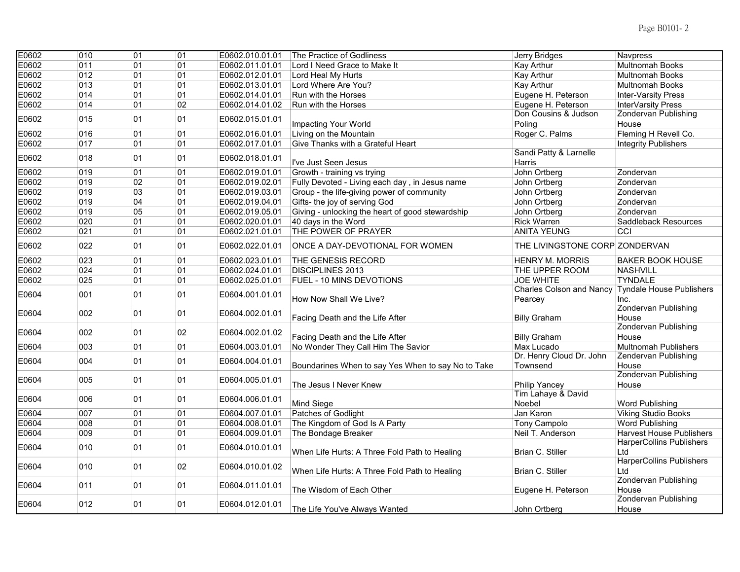| E0602 | 010        | 01       | 01       | E0602.010.01.01 | The Practice of Godliness                          | Jerry Bridges                    | Navpress                                                           |
|-------|------------|----------|----------|-----------------|----------------------------------------------------|----------------------------------|--------------------------------------------------------------------|
| E0602 | 011        | 01       | 01       | E0602.011.01.01 | Lord I Need Grace to Make It                       | <b>Kay Arthur</b>                | <b>Multnomah Books</b>                                             |
| E0602 | 012        | 01       | 01       | E0602.012.01.01 | Lord Heal My Hurts                                 | Kay Arthur                       | <b>Multnomah Books</b>                                             |
| E0602 | 013        | 01       | 01       | E0602.013.01.01 | Lord Where Are You?                                | Kay Arthur                       | Multnomah Books                                                    |
| E0602 | 014        | 01       | 01       | E0602.014.01.01 | Run with the Horses                                | Eugene H. Peterson               | <b>Inter-Varsity Press</b>                                         |
| E0602 | 014        | 01       | 02       | E0602.014.01.02 | Run with the Horses                                | Eugene H. Peterson               | InterVarsity Press                                                 |
| E0602 | 015        | 01       | 01       | E0602.015.01.01 |                                                    | Don Cousins & Judson             | <b>Zondervan Publishing</b>                                        |
|       |            |          |          |                 | Impacting Your World                               | Poling                           | House                                                              |
| E0602 | 016        | 01       | 01       | E0602.016.01.01 | Living on the Mountain                             | Roger C. Palms                   | Fleming H Revell Co.                                               |
| E0602 | 017        | 01       | 01       | E0602.017.01.01 | Give Thanks with a Grateful Heart                  |                                  | <b>Integrity Publishers</b>                                        |
| E0602 | 018        | 01       | 01       | E0602.018.01.01 | I've Just Seen Jesus                               | Sandi Patty & Larnelle<br>Harris |                                                                    |
| E0602 | 019        | 01       | 01       | E0602.019.01.01 | Growth - training vs trying                        | John Ortberg                     | Zondervan                                                          |
| E0602 | 019        | 02       | 01       | E0602.019.02.01 | Fully Devoted - Living each day, in Jesus name     | John Ortberg                     | Zondervan                                                          |
| E0602 | 019        | 03       | 01       | E0602.019.03.01 | Group - the life-giving power of community         | John Ortberg                     | Zondervan                                                          |
| E0602 | 019        | 04       | 01       | E0602.019.04.01 | Gifts- the joy of serving God                      | John Ortberg                     | Zondervan                                                          |
| E0602 | 019        | 05       | 01       | E0602.019.05.01 | Giving - unlocking the heart of good stewardship   | John Ortberg                     | Zondervan                                                          |
| E0602 | 020        | 01       | 01       | E0602.020.01.01 | 40 days in the Word                                | <b>Rick Warren</b>               | Saddleback Resources                                               |
| E0602 | 021        | 01       | 01       | E0602.021.01.01 | THE POWER OF PRAYER                                | <b>ANITA YEUNG</b>               | CCI                                                                |
| E0602 | 022        | 01       | 01       | E0602.022.01.01 | ONCE A DAY-DEVOTIONAL FOR WOMEN                    | THE LIVINGSTONE CORP ZONDERVAN   |                                                                    |
| E0602 | 023        | 01       | 01       | E0602.023.01.01 | THE GENESIS RECORD                                 | <b>HENRY M. MORRIS</b>           | <b>BAKER BOOK HOUSE</b>                                            |
| E0602 | 024        | 01       | 01       | E0602.024.01.01 | <b>DISCIPLINES 2013</b>                            | THE UPPER ROOM                   | <b>NASHVILL</b>                                                    |
| E0602 | 025        | 01       | 01       | E0602.025.01.01 | <b>FUEL - 10 MINS DEVOTIONS</b>                    | <b>JOE WHITE</b>                 | <b>TYNDALE</b>                                                     |
|       | 001        | 01       | 01       |                 |                                                    | <b>Charles Colson and Nancy</b>  | <b>Tyndale House Publishers</b>                                    |
| E0604 |            |          |          | E0604.001.01.01 | How Now Shall We Live?                             | Pearcey                          | Inc.                                                               |
| E0604 | 002        | 01       | 01       | E0604.002.01.01 | Facing Death and the Life After                    | <b>Billy Graham</b>              | <b>Zondervan Publishing</b><br>House                               |
| E0604 | 002        | 01       | 02       | E0604.002.01.02 |                                                    |                                  | <b>Zondervan Publishing</b>                                        |
|       |            |          |          |                 | Facing Death and the Life After                    | <b>Billy Graham</b>              | House                                                              |
| E0604 | 003        | 01       | 01       | E0604.003.01.01 | No Wonder They Call Him The Savior                 | Max Lucado                       | <b>Multnomah Publishers</b>                                        |
| E0604 | 004        | 01       | 01       | E0604.004.01.01 |                                                    | Dr. Henry Cloud Dr. John         | Zendervan Publishing                                               |
|       |            |          |          |                 | Boundarines When to say Yes When to say No to Take | Townsend                         | House                                                              |
| E0604 | 005        | 01       | 01       | E0604.005.01.01 |                                                    |                                  | <b>Zondervan Publishing</b>                                        |
|       |            |          |          |                 | The Jesus I Never Knew                             | Philip Yancey                    | House                                                              |
| E0604 | 006        | 01       | 01       | E0604.006.01.01 |                                                    | Tim Lahaye & David               |                                                                    |
|       |            |          |          |                 | Mind Siege                                         | Noebel                           | <b>Word Publishing</b>                                             |
| E0604 | 007<br>008 | 01<br>01 | 01<br>01 | E0604.007.01.01 | Patches of Godlight                                | Jan Karon                        | <b>Viking Studio Books</b>                                         |
| E0604 |            |          |          | E0604.008.01.01 | The Kingdom of God Is A Party                      | Tony Campolo                     | <b>Word Publishing</b>                                             |
| E0604 | 009        | 01       | 01       | E0604.009.01.01 | The Bondage Breaker                                | Neil T. Anderson                 | <b>Harvest House Publishers</b><br><b>HarperCollins Publishers</b> |
| E0604 | 010        | 01       | 01       | E0604.010.01.01 | When Life Hurts: A Three Fold Path to Healing      | Brian C. Stiller                 | Ltd                                                                |
| E0604 | 010        | 01       | 02       | E0604.010.01.02 |                                                    |                                  | <b>HarperCollins Publishers</b>                                    |
|       |            |          |          |                 | When Life Hurts: A Three Fold Path to Healing      | Brian C. Stiller                 | Ltd                                                                |
| E0604 | 011        | 01       | 01       | E0604.011.01.01 |                                                    |                                  | <b>Zondervan Publishing</b>                                        |
|       |            |          |          |                 | The Wisdom of Each Other                           | Eugene H. Peterson               | House<br><b>Zondervan Publishing</b>                               |
| E0604 | 012        | 01       | 01       | E0604.012.01.01 | The Life You've Always Wanted                      | John Ortberg                     | House                                                              |
|       |            |          |          |                 |                                                    |                                  |                                                                    |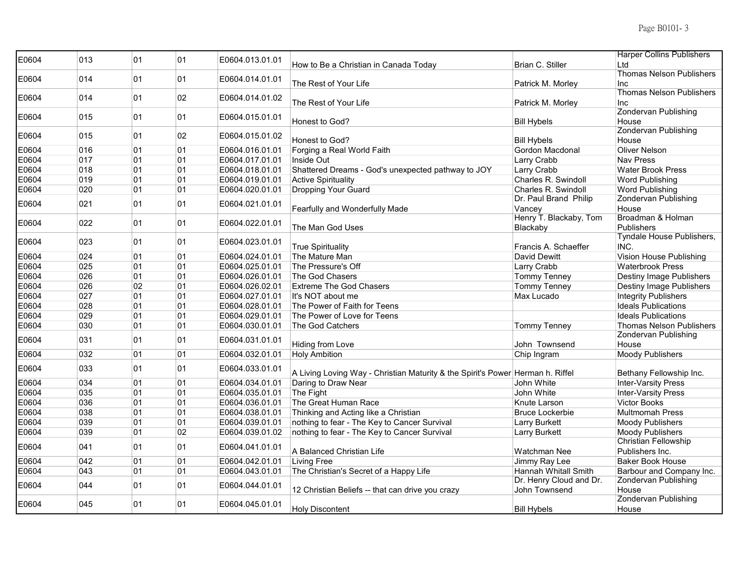| E0604 | 013 | 01 | 01 | E0604.013.01.01 | How to Be a Christian in Canada Today                                          | Brian C. Stiller            | <b>Harper Collins Publishers</b><br>Ltd |
|-------|-----|----|----|-----------------|--------------------------------------------------------------------------------|-----------------------------|-----------------------------------------|
|       |     |    |    |                 |                                                                                |                             | <b>Thomas Nelson Publishers</b>         |
| E0604 | 014 | 01 | 01 | E0604.014.01.01 | The Rest of Your Life                                                          | Patrick M. Morley           | Inc                                     |
| E0604 | 014 | 01 | 02 | E0604.014.01.02 |                                                                                |                             | <b>Thomas Nelson Publishers</b>         |
|       |     |    |    |                 | The Rest of Your Life                                                          | Patrick M. Morley           | Inc                                     |
| E0604 | 015 | 01 | 01 | E0604.015.01.01 |                                                                                |                             | Zondervan Publishing                    |
|       |     |    |    |                 | Honest to God?                                                                 | <b>Bill Hybels</b>          | House<br>Zondervan Publishing           |
| E0604 | 015 | 01 | 02 | E0604.015.01.02 | Honest to God?                                                                 | <b>Bill Hybels</b>          | House                                   |
| E0604 | 016 | 01 | 01 | E0604.016.01.01 | Forging a Real World Faith                                                     | <b>Gordon Macdonal</b>      | <b>Oliver Nelson</b>                    |
| E0604 | 017 | 01 | 01 | E0604.017.01.01 | Inside Out                                                                     | Larry Crabb                 | <b>Nav Press</b>                        |
| E0604 | 018 | 01 | 01 | E0604.018.01.01 | Shattered Dreams - God's unexpected pathway to JOY                             | Larry Crabb                 | <b>Water Brook Press</b>                |
| E0604 | 019 | 01 | 01 | E0604.019.01.01 | <b>Active Spirituality</b>                                                     | Charles R. Swindoll         | <b>Word Publishing</b>                  |
| E0604 | 020 | 01 | 01 | E0604.020.01.01 | <b>Dropping Your Guard</b>                                                     | Charles R. Swindoll         | <b>Word Publishing</b>                  |
|       |     |    |    |                 |                                                                                | Dr. Paul Brand Philip       | Zondervan Publishing                    |
| E0604 | 021 | 01 | 01 | E0604.021.01.01 | Fearfully and Wonderfully Made                                                 | Vancey                      | House                                   |
|       |     |    |    |                 |                                                                                | Henry T. Blackaby, Tom      | Broadman & Holman                       |
| E0604 | 022 | 01 | 01 | E0604.022.01.01 | The Man God Uses                                                               |                             | Publishers                              |
|       |     |    |    |                 |                                                                                | Blackaby                    | Tyndale House Publishers,               |
| E0604 | 023 | 01 | 01 | E0604.023.01.01 |                                                                                |                             | INC.                                    |
|       |     |    |    |                 | <b>True Spirituality</b>                                                       | Francis A. Schaeffer        |                                         |
| E0604 | 024 | 01 | 01 | E0604.024.01.01 | The Mature Man                                                                 | David Dewitt                | Vision House Publishing                 |
| E0604 | 025 | 01 | 01 | E0604.025.01.01 | The Pressure's Off                                                             | Larry Crabb                 | <b>Waterbrook Press</b>                 |
| E0604 | 026 | 01 | 01 | E0604.026.01.01 | The God Chasers                                                                | <b>Tommy Tenney</b>         | Destiny Image Publishers                |
| E0604 | 026 | 02 | 01 | E0604.026.02.01 | <b>Extreme The God Chasers</b>                                                 | <b>Tommy Tenney</b>         | Destiny Image Publishers                |
| E0604 | 027 | 01 | 01 | E0604.027.01.01 | It's NOT about me                                                              | Max Lucado                  | <b>Integrity Publishers</b>             |
| E0604 | 028 | 01 | 01 | E0604.028.01.01 | The Power of Faith for Teens                                                   |                             | <b>Ideals Publications</b>              |
| E0604 | 029 | 01 | 01 | E0604.029.01.01 | The Power of Love for Teens                                                    |                             | <b>Ideals Publications</b>              |
| E0604 | 030 | 01 | 01 | E0604.030.01.01 | The God Catchers                                                               | <b>Tommy Tenney</b>         | <b>Thomas Nelson Publishers</b>         |
|       |     |    |    |                 |                                                                                |                             | Zondervan Publishing                    |
| E0604 | 031 | 01 | 01 | E0604.031.01.01 | <b>Hiding from Love</b>                                                        | John Townsend               | House                                   |
| E0604 | 032 | 01 | 01 | E0604.032.01.01 | <b>Holy Ambition</b>                                                           | Chip Ingram                 | Moody Publishers                        |
|       |     |    |    |                 |                                                                                |                             |                                         |
| E0604 | 033 | 01 | 01 | E0604.033.01.01 | A Living Loving Way - Christian Maturity & the Spirit's Power Herman h. Riffel |                             | Bethany Fellowship Inc.                 |
| E0604 | 034 | 01 | 01 | E0604.034.01.01 | Daring to Draw Near                                                            | John White                  | <b>Inter-Varsity Press</b>              |
| E0604 | 035 | 01 | 01 | E0604.035.01.01 | The Fight                                                                      | John White                  | <b>Inter-Varsity Press</b>              |
| E0604 | 036 | 01 | 01 | E0604.036.01.01 | The Great Human Race                                                           | Knute Larson                | <b>Victor Books</b>                     |
| E0604 | 038 | 01 | 01 | E0604.038.01.01 | Thinking and Acting like a Christian                                           | <b>Bruce Lockerbie</b>      | <b>Multmomah Press</b>                  |
| E0604 | 039 | 01 | 01 | E0604.039.01.01 | nothing to fear - The Key to Cancer Survival                                   | <b>Larry Burkett</b>        | Moody Publishers                        |
| E0604 | 039 | 01 | 02 | E0604.039.01.02 | nothing to fear - The Key to Cancer Survival                                   | <b>Larry Burkett</b>        | Moody Publishers                        |
|       |     |    |    |                 |                                                                                |                             | Christian Fellowship                    |
| E0604 | 041 | 01 | 01 | E0604.041.01.01 | A Balanced Christian Life                                                      | Watchman Nee                | Publishers Inc.                         |
| E0604 | 042 | 01 | 01 | E0604.042.01.01 | <b>Living Free</b>                                                             | Jimmy Ray Lee               | <b>Baker Book House</b>                 |
| E0604 | 043 | 01 | 01 | E0604.043.01.01 | The Christian's Secret of a Happy Life                                         | <b>Hannah Whitall Smith</b> | Barbour and Company Inc.                |
|       |     |    |    |                 |                                                                                | Dr. Henry Cloud and Dr.     | <b>Zondervan Publishing</b>             |
| E0604 | 044 | 01 | 01 | E0604.044.01.01 | 12 Christian Beliefs -- that can drive you crazy                               | John Townsend               | House                                   |
|       |     |    |    |                 |                                                                                |                             | <b>Zondervan Publishing</b>             |
| E0604 | 045 | 01 | 01 | E0604.045.01.01 |                                                                                | <b>Bill Hybels</b>          |                                         |
|       |     |    |    |                 | Holy Discontent                                                                |                             | House                                   |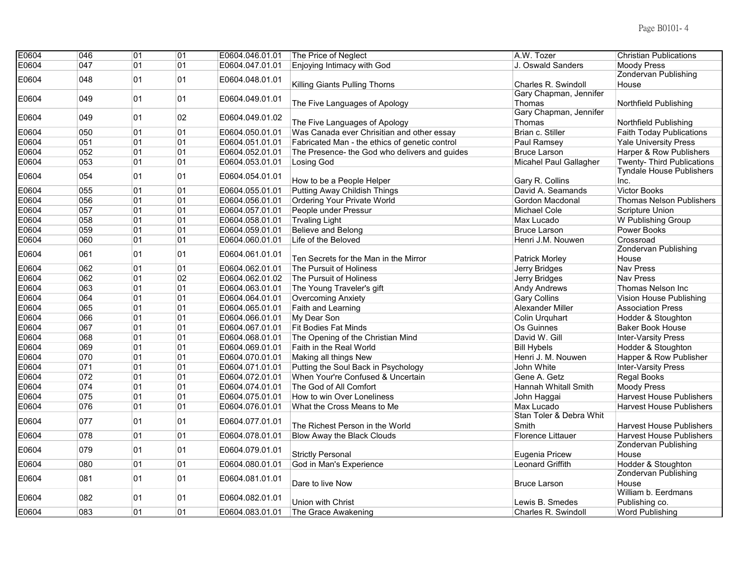| E0604 | 046 | 01 | 01 | E0604.046.01.01 | The Price of Neglect                           | A.W. Tozer               | <b>Christian Publications</b>     |
|-------|-----|----|----|-----------------|------------------------------------------------|--------------------------|-----------------------------------|
| E0604 | 047 | 01 | 01 | E0604.047.01.01 | Enjoying Intimacy with God                     | J. Oswald Sanders        | <b>Moody Press</b>                |
| E0604 | 048 | 01 | 01 | E0604.048.01.01 |                                                |                          | <b>Zondervan Publishing</b>       |
|       |     |    |    |                 | Killing Giants Pulling Thorns                  | Charles R. Swindoll      | House                             |
| E0604 | 049 | 01 | 01 | E0604.049.01.01 |                                                | Gary Chapman, Jennifer   |                                   |
|       |     |    |    |                 | The Five Languages of Apology                  | Thomas                   | Northfield Publishing             |
| E0604 | 049 | 01 | 02 | E0604.049.01.02 |                                                | Gary Chapman, Jennifer   |                                   |
|       |     |    |    |                 | The Five Languages of Apology                  | Thomas                   | Northfield Publishing             |
| E0604 | 050 | 01 | 01 | E0604.050.01.01 | Was Canada ever Chrisitian and other essay     | Brian c. Stiller         | <b>Faith Today Publications</b>   |
| E0604 | 051 | 01 | 01 | E0604.051.01.01 | Fabricated Man - the ethics of genetic control | Paul Ramsey              | <b>Yale University Press</b>      |
| E0604 | 052 | 01 | 01 | E0604.052.01.01 | The Presence- the God who delivers and guides  | Bruce Larson             | Harper & Row Publishers           |
| E0604 | 053 | 01 | 01 | E0604.053.01.01 | Losing God                                     | Micahel Paul Gallagher   | <b>Twenty- Third Publications</b> |
| E0604 | 054 | 01 | 01 | E0604.054.01.01 |                                                |                          | <b>Tyndale House Publishers</b>   |
|       |     |    |    |                 | How to be a People Helper                      | Gary R. Collins          | Inc.                              |
| E0604 | 055 | 01 | 01 | E0604.055.01.01 | <b>Putting Away Childish Things</b>            | David A. Seamands        | Victor Books                      |
| E0604 | 056 | 01 | 01 | E0604.056.01.01 | <b>Ordering Your Private World</b>             | Gordon Macdonal          | <b>Thomas Nelson Publishers</b>   |
| E0604 | 057 | 01 | 01 | E0604.057.01.01 | People under Pressur                           | Michael Cole             | Scripture Union                   |
| E0604 | 058 | 01 | 01 | E0604.058.01.01 | <b>Trvaling Light</b>                          | Max Lucado               | W Publishing Group                |
| E0604 | 059 | 01 | 01 | E0604.059.01.01 | Believe and Belong                             | <b>Bruce Larson</b>      | Power Books                       |
| E0604 | 060 | 01 | 01 | E0604.060.01.01 | Life of the Beloved                            | Henri J.M. Nouwen        | Crossroad                         |
|       |     |    |    |                 |                                                |                          | <b>Zondervan Publishing</b>       |
| E0604 | 061 | 01 | 01 | E0604.061.01.01 | Ten Secrets for the Man in the Mirror          | Patrick Morley           | House                             |
| E0604 | 062 | 01 | 01 | E0604.062.01.01 | The Pursuit of Holiness                        | Jerry Bridges            | <b>Nav Press</b>                  |
| E0604 | 062 | 01 | 02 | E0604.062.01.02 | The Pursuit of Holiness                        | Jerry Bridges            | <b>Nav Press</b>                  |
| E0604 | 063 | 01 | 01 | E0604.063.01.01 | The Young Traveler's gift                      | Andy Andrews             | Thomas Nelson Inc                 |
| E0604 | 064 | 01 | 01 | E0604.064.01.01 | <b>Overcoming Anxiety</b>                      | <b>Gary Collins</b>      | Vision House Publishing           |
| E0604 | 065 | 01 | 01 | E0604.065.01.01 | Faith and Learning                             | <b>Alexander Miller</b>  | <b>Association Press</b>          |
| E0604 | 066 | 01 | 01 | E0604.066.01.01 | My Dear Son                                    | Colin Urquhart           | Hodder & Stoughton                |
| E0604 | 067 | 01 | 01 | E0604.067.01.01 | <b>Fit Bodies Fat Minds</b>                    | Os Guinnes               | <b>Baker Book House</b>           |
| E0604 | 068 | 01 | 01 | E0604.068.01.01 | The Opening of the Christian Mind              | David W. Gill            | <b>Inter-Varsity Press</b>        |
| E0604 | 069 | 01 | 01 | E0604.069.01.01 | Faith in the Real World                        | <b>Bill Hybels</b>       | Hodder & Stoughton                |
| E0604 | 070 | 01 | 01 | E0604.070.01.01 | Making all things New                          | Henri J. M. Nouwen       | Happer & Row Publisher            |
| E0604 | 071 | 01 | 01 | E0604.071.01.01 | Putting the Soul Back in Psychology            | John White               | <b>Inter-Varsity Press</b>        |
| E0604 | 072 | 01 | 01 | E0604.072.01.01 | When Your're Confused & Uncertain              | Gene A. Getz             | Regal Books                       |
| E0604 | 074 | 01 | 01 | E0604.074.01.01 | The God of All Comfort                         | Hannah Whitall Smith     | <b>Moody Press</b>                |
| E0604 | 075 | 01 | 01 | E0604.075.01.01 | How to win Over Loneliness                     | John Haggai              | <b>Harvest House Publishers</b>   |
| E0604 | 076 | 01 | 01 | E0604.076.01.01 | What the Cross Means to Me                     | Max Lucado               | <b>Harvest House Publishers</b>   |
|       |     |    |    |                 |                                                | Stan Toler & Debra Whit  |                                   |
| E0604 | 077 | 01 | 01 | E0604.077.01.01 | The Richest Person in the World                | Smith                    | <b>Harvest House Publishers</b>   |
| E0604 | 078 | 01 | 01 | E0604.078.01.01 | Blow Away the Black Clouds                     | <b>Florence Littauer</b> | <b>Harvest House Publishers</b>   |
|       |     |    |    |                 |                                                |                          | <b>Zondervan Publishing</b>       |
| E0604 | 079 | 01 | 01 | E0604.079.01.01 | <b>Strictly Personal</b>                       | Eugenia Pricew           | House                             |
| E0604 | 080 | 01 | 01 | E0604.080.01.01 | God in Man's Experience                        | <b>Leonard Griffith</b>  | Hodder & Stoughton                |
|       |     |    |    |                 |                                                |                          | Zondervan Publishing              |
| E0604 | 081 | 01 | 01 | E0604.081.01.01 | Dare to live Now                               | <b>Bruce Larson</b>      | House                             |
|       |     |    |    |                 |                                                |                          | William b. Eerdmans               |
| E0604 | 082 | 01 | 01 | E0604.082.01.01 | Union with Christ                              | Lewis B. Smedes          | Publishing co.                    |
| E0604 | 083 | 01 | 01 | E0604.083.01.01 | The Grace Awakening                            | Charles R. Swindoll      | <b>Word Publishing</b>            |
|       |     |    |    |                 |                                                |                          |                                   |